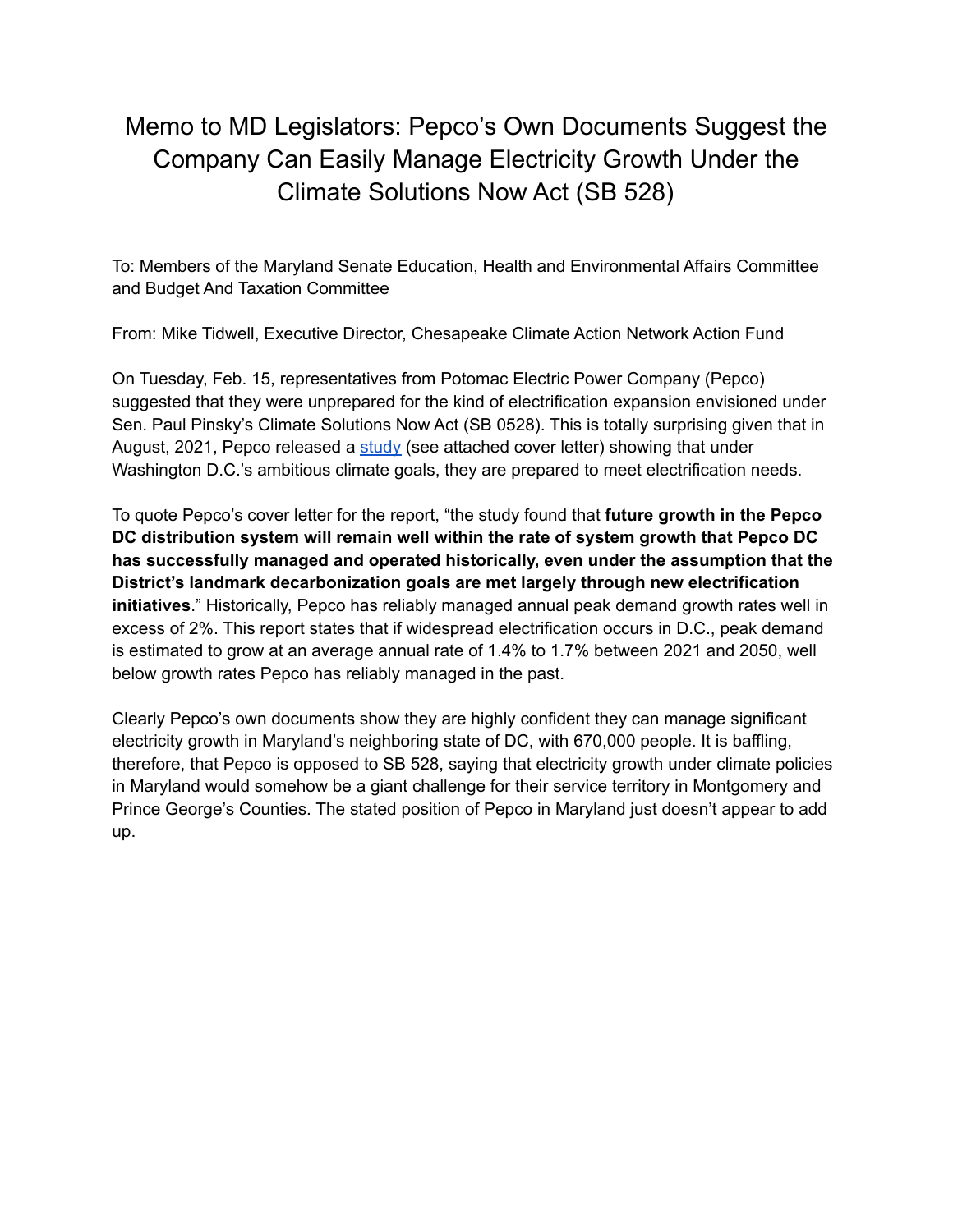## Memo to MD Legislators: Pepco's Own Documents Suggest the Company Can Easily Manage Electricity Growth Under the Climate Solutions Now Act (SB 528)

To: Members of the Maryland Senate Education, Health and Environmental Affairs Committee and Budget And Taxation Committee

From: Mike Tidwell, Executive Director, Chesapeake Climate Action Network Action Fund

On Tuesday, Feb. 15, representatives from Potomac Electric Power Company (Pepco) suggested that they were unprepared for the kind of electrification expansion envisioned under Sen. Paul Pinsky's Climate Solutions Now Act (SB 0528). This is totally surprising given that in August, 2021, Pepco released a [study](https://chesapeakeclimate.org/wp-content/uploads/2022/02/Pepco-DC-study-on-how-grid-can-handle-expansion.pdf) (see attached cover letter) showing that under Washington D.C.'s ambitious climate goals, they are prepared to meet electrification needs.

To quote Pepco's cover letter for the report, "the study found that **future growth in the Pepco DC distribution system will remain well within the rate of system growth that Pepco DC has successfully managed and operated historically, even under the assumption that the District's landmark decarbonization goals are met largely through new electrification initiatives**." Historically, Pepco has reliably managed annual peak demand growth rates well in excess of 2%. This report states that if widespread electrification occurs in D.C., peak demand is estimated to grow at an average annual rate of 1.4% to 1.7% between 2021 and 2050, well below growth rates Pepco has reliably managed in the past.

Clearly Pepco's own documents show they are highly confident they can manage significant electricity growth in Maryland's neighboring state of DC, with 670,000 people. It is baffling, therefore, that Pepco is opposed to SB 528, saying that electricity growth under climate policies in Maryland would somehow be a giant challenge for their service territory in Montgomery and Prince George's Counties. The stated position of Pepco in Maryland just doesn't appear to add up.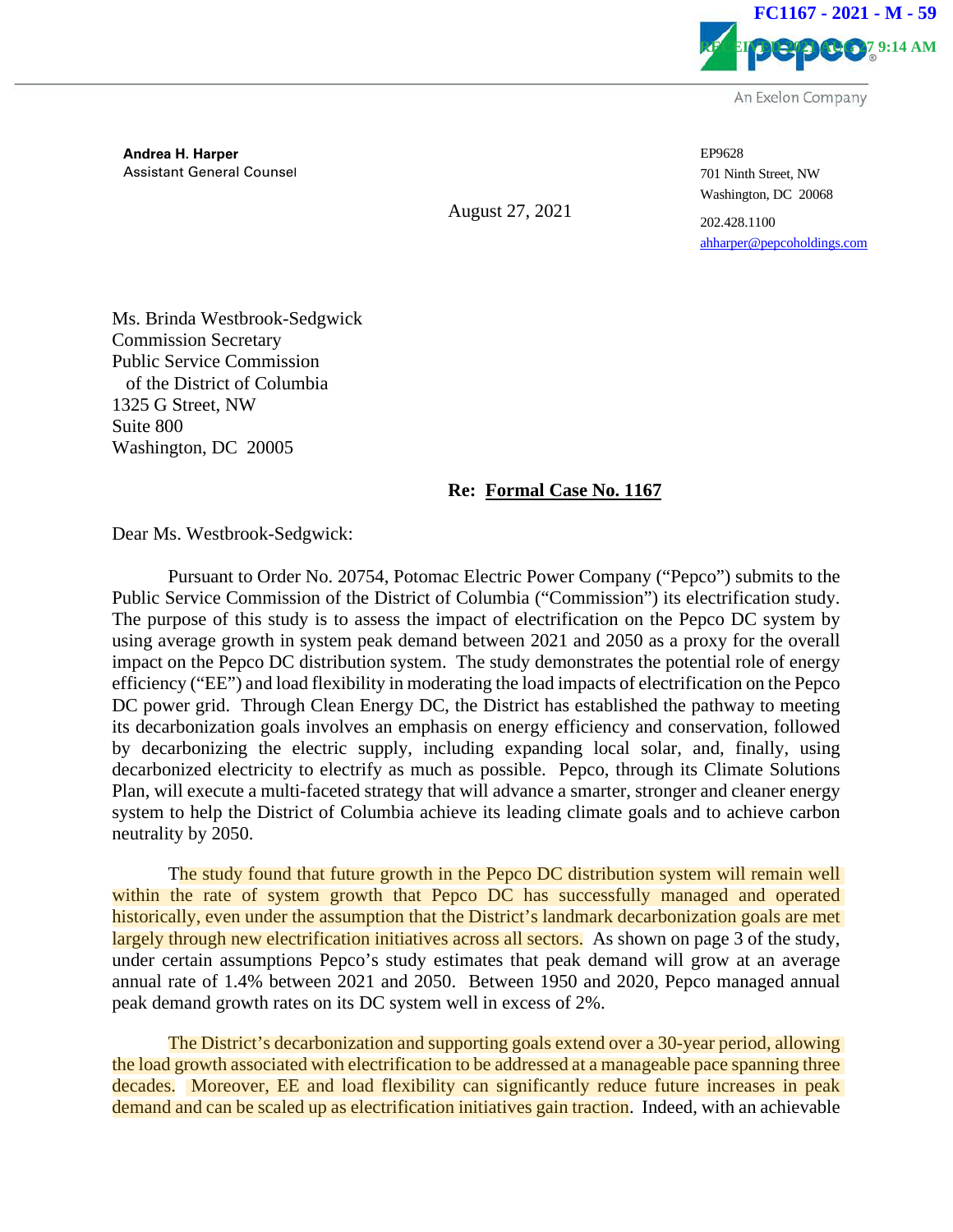

**Andrea H. Harper** Assistant General Counsel

August 27, 2021

EP9628 701 Ninth Street, NW Washington, DC 20068

202.428.1100 ahharper@pepcoholdings.com

Ms. Brinda Westbrook-Sedgwick Commission Secretary Public Service Commission of the District of Columbia 1325 G Street, NW Suite 800 Washington, DC 20005

## **Re: Formal Case No. 1167**

Dear Ms. Westbrook-Sedgwick:

Pursuant to Order No. 20754, Potomac Electric Power Company ("Pepco") submits to the Public Service Commission of the District of Columbia ("Commission") its electrification study. The purpose of this study is to assess the impact of electrification on the Pepco DC system by using average growth in system peak demand between 2021 and 2050 as a proxy for the overall impact on the Pepco DC distribution system. The study demonstrates the potential role of energy efficiency ("EE") and load flexibility in moderating the load impacts of electrification on the Pepco DC power grid. Through Clean Energy DC, the District has established the pathway to meeting its decarbonization goals involves an emphasis on energy efficiency and conservation, followed by decarbonizing the electric supply, including expanding local solar, and, finally, using decarbonized electricity to electrify as much as possible. Pepco, through its Climate Solutions Plan, will execute a multi-faceted strategy that will advance a smarter, stronger and cleaner energy system to help the District of Columbia achieve its leading climate goals and to achieve carbon neutrality by 2050.

The study found that future growth in the Pepco DC distribution system will remain well within the rate of system growth that Pepco DC has successfully managed and operated historically, even under the assumption that the District's landmark decarbonization goals are met largely through new electrification initiatives across all sectors. As shown on page 3 of the study, under certain assumptions Pepco's study estimates that peak demand will grow at an average annual rate of 1.4% between 2021 and 2050. Between 1950 and 2020, Pepco managed annual peak demand growth rates on its DC system well in excess of 2%.

The District's decarbonization and supporting goals extend over a 30-year period, allowing the load growth associated with electrification to be addressed at a manageable pace spanning three decades. Moreover, EE and load flexibility can significantly reduce future increases in peak demand and can be scaled up as electrification initiatives gain traction. Indeed, with an achievable